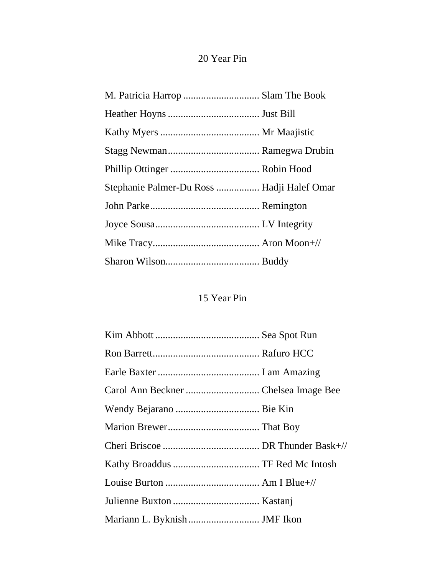## 20 Year Pin

| Stephanie Palmer-Du Ross  Hadji Halef Omar |  |
|--------------------------------------------|--|
|                                            |  |
|                                            |  |
|                                            |  |
|                                            |  |

## 15 Year Pin

| Mariann L. Byknish  JMF Ikon |  |
|------------------------------|--|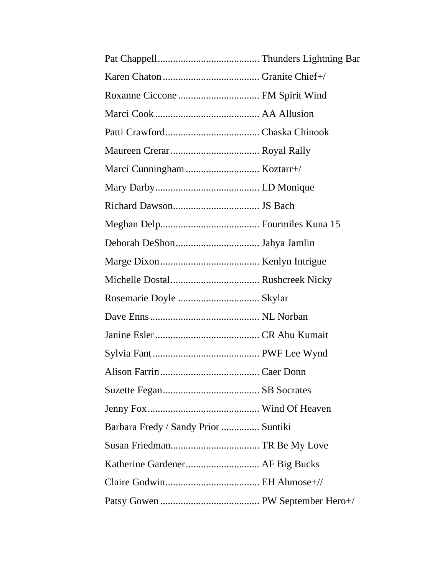| Barbara Fredy / Sandy Prior  Suntiki |  |
|--------------------------------------|--|
|                                      |  |
|                                      |  |
|                                      |  |
|                                      |  |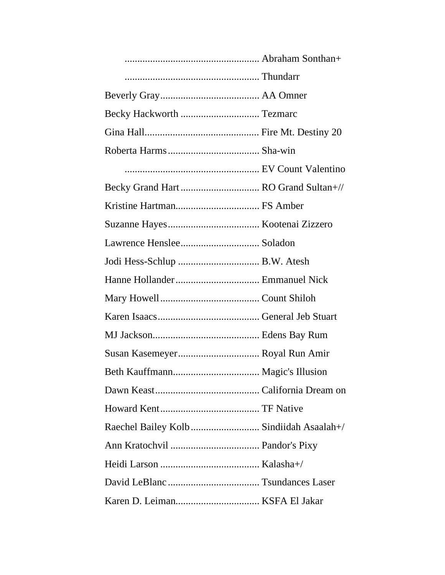| Raechel Bailey Kolb  Sindiidah Asaalah+/ |
|------------------------------------------|
|                                          |
|                                          |
|                                          |
|                                          |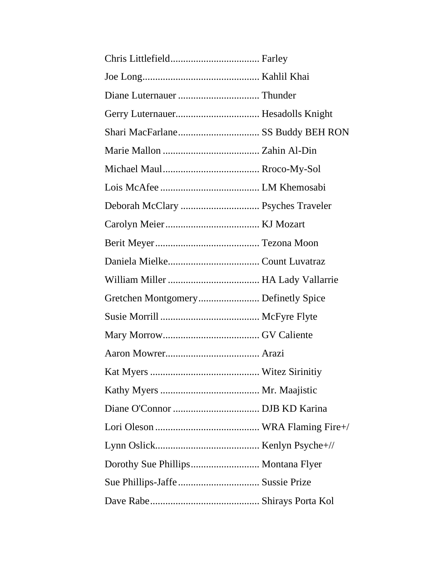| Deborah McClary  Psyches Traveler |  |
|-----------------------------------|--|
|                                   |  |
|                                   |  |
|                                   |  |
|                                   |  |
|                                   |  |
|                                   |  |
|                                   |  |
|                                   |  |
|                                   |  |
|                                   |  |
|                                   |  |
|                                   |  |
|                                   |  |
|                                   |  |
|                                   |  |
|                                   |  |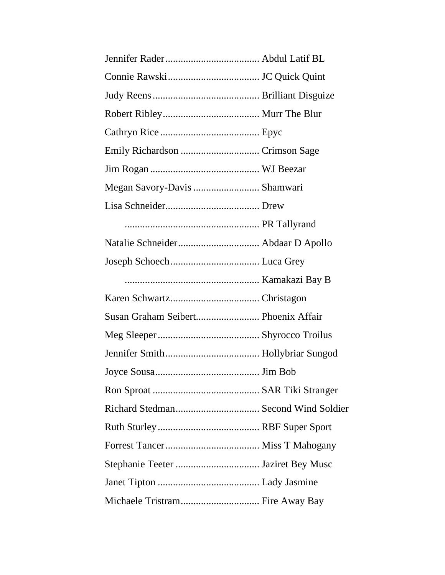| Susan Graham Seibert Phoenix Affair |  |
|-------------------------------------|--|
|                                     |  |
|                                     |  |
|                                     |  |
|                                     |  |
|                                     |  |
|                                     |  |
|                                     |  |
|                                     |  |
|                                     |  |
| Michaele Tristram Fire Away Bay     |  |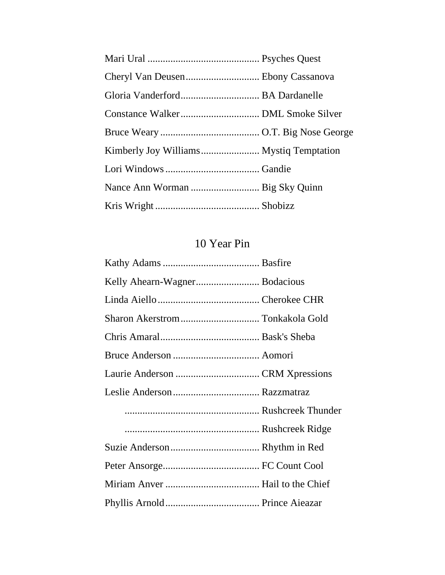| Cheryl Van Deusen Ebony Cassanova |  |
|-----------------------------------|--|
|                                   |  |
|                                   |  |
|                                   |  |
|                                   |  |
|                                   |  |
|                                   |  |
|                                   |  |

## 10 Year Pin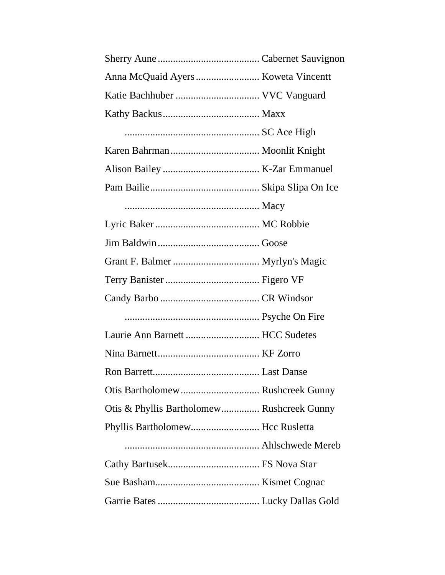| Laurie Ann Barnett  HCC Sudetes            |  |
|--------------------------------------------|--|
|                                            |  |
|                                            |  |
|                                            |  |
| Otis & Phyllis Bartholomew Rushcreek Gunny |  |
| Phyllis Bartholomew Hcc Rusletta           |  |
|                                            |  |
|                                            |  |
|                                            |  |
|                                            |  |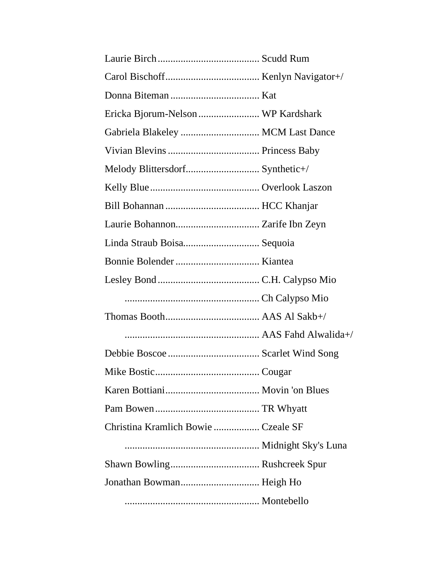| Ericka Bjorum-Nelson  WP Kardshark  |  |
|-------------------------------------|--|
| Gabriela Blakeley  MCM Last Dance   |  |
|                                     |  |
|                                     |  |
|                                     |  |
|                                     |  |
|                                     |  |
|                                     |  |
|                                     |  |
|                                     |  |
|                                     |  |
|                                     |  |
|                                     |  |
|                                     |  |
|                                     |  |
|                                     |  |
|                                     |  |
| Christina Kramlich Bowie  Czeale SF |  |
|                                     |  |
|                                     |  |
|                                     |  |
|                                     |  |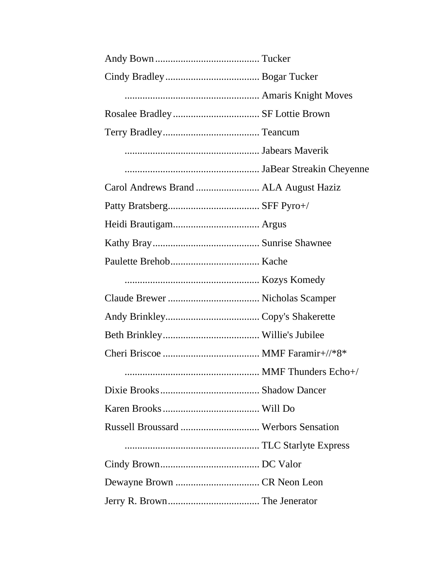| Russell Broussard  Werbors Sensation |  |
|--------------------------------------|--|
|                                      |  |
|                                      |  |
|                                      |  |
|                                      |  |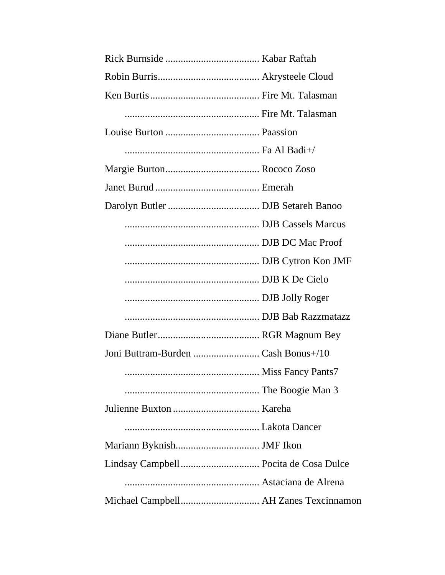| Miss Fancy Pants7                     |  |
|---------------------------------------|--|
|                                       |  |
|                                       |  |
|                                       |  |
|                                       |  |
|                                       |  |
|                                       |  |
| Michael Campbell AH Zanes Texcinnamon |  |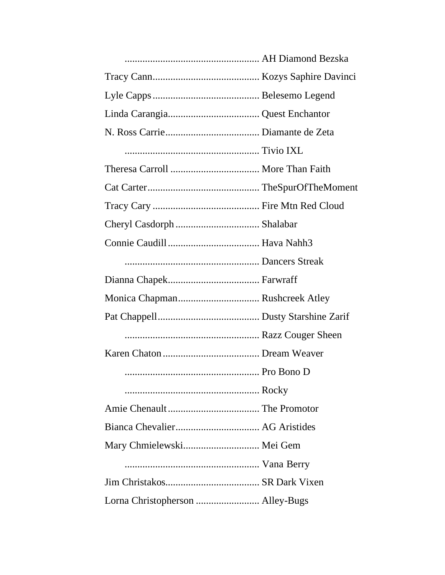| Mary Chmielewski Mei Gem         |  |
|----------------------------------|--|
|                                  |  |
|                                  |  |
| Lorna Christopherson  Alley-Bugs |  |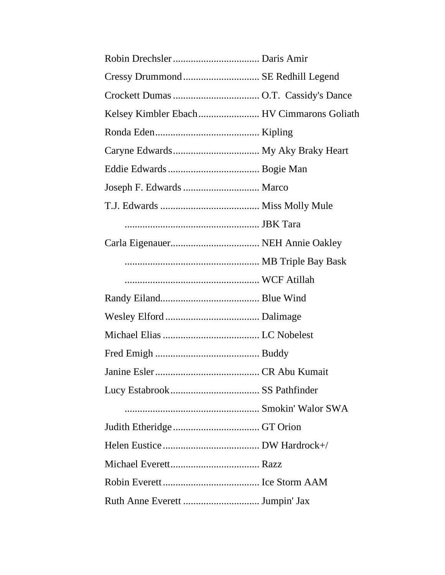| Cressy Drummond  SE Redhill Legend         |  |
|--------------------------------------------|--|
|                                            |  |
| Kelsey Kimbler Ebach  HV Cimmarons Goliath |  |
|                                            |  |
|                                            |  |
|                                            |  |
| Joseph F. Edwards  Marco                   |  |
|                                            |  |
|                                            |  |
|                                            |  |
|                                            |  |
|                                            |  |
|                                            |  |
|                                            |  |
|                                            |  |
|                                            |  |
|                                            |  |
|                                            |  |
|                                            |  |
|                                            |  |
|                                            |  |
|                                            |  |
|                                            |  |
|                                            |  |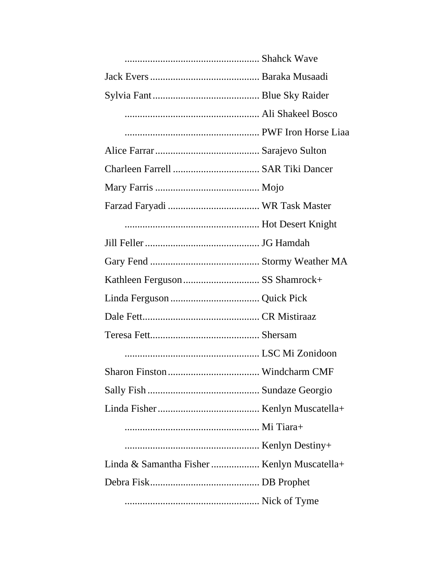| Linda & Samantha Fisher  Kenlyn Muscatella+ |  |
|---------------------------------------------|--|
|                                             |  |
|                                             |  |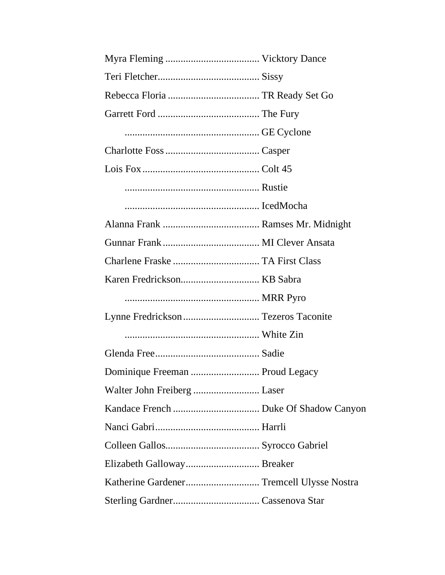| Lynne Fredrickson  Tezeros Taconite |  |
|-------------------------------------|--|
|                                     |  |
|                                     |  |
| Dominique Freeman  Proud Legacy     |  |
| Walter John Freiberg  Laser         |  |
|                                     |  |
|                                     |  |
|                                     |  |
|                                     |  |
|                                     |  |
|                                     |  |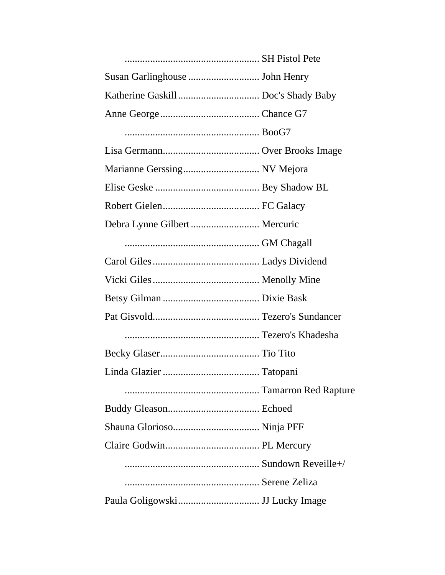| Debra Lynne Gilbert  Mercuric |  |
|-------------------------------|--|
|                               |  |
|                               |  |
|                               |  |
|                               |  |
|                               |  |
|                               |  |
|                               |  |
|                               |  |
|                               |  |
|                               |  |
|                               |  |
|                               |  |
|                               |  |
|                               |  |
|                               |  |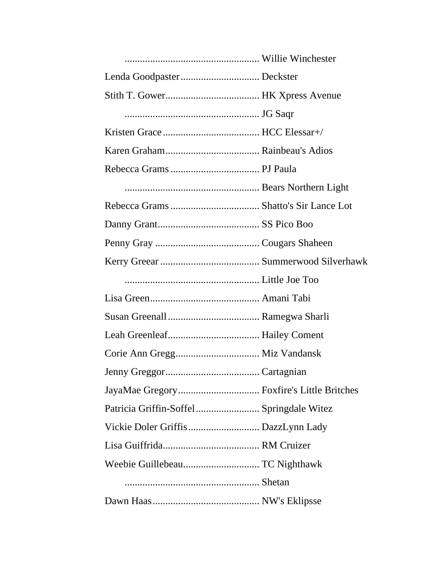| Vickie Doler Griffis DazzLynn Lady |  |
|------------------------------------|--|
|                                    |  |
|                                    |  |
|                                    |  |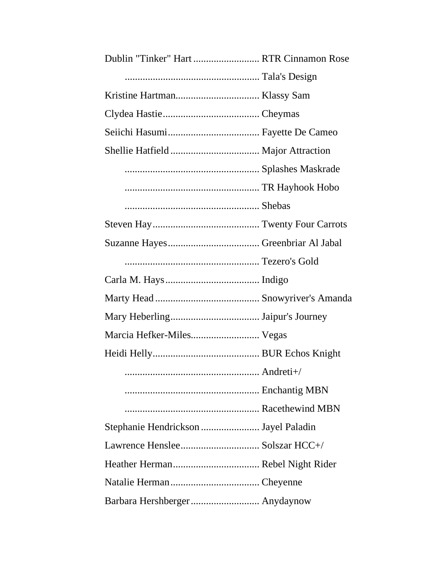| Dublin "Tinker" Hart  RTR Cinnamon Rose |  |
|-----------------------------------------|--|
|                                         |  |
|                                         |  |
|                                         |  |
|                                         |  |
|                                         |  |
|                                         |  |
|                                         |  |
|                                         |  |
|                                         |  |
|                                         |  |
|                                         |  |
|                                         |  |
|                                         |  |
|                                         |  |
| Marcia Hefker-Miles Vegas               |  |
|                                         |  |
|                                         |  |
|                                         |  |
|                                         |  |
| Stephanie Hendrickson  Jayel Paladin    |  |
|                                         |  |
|                                         |  |
|                                         |  |
| Barbara Hershberger Anydaynow           |  |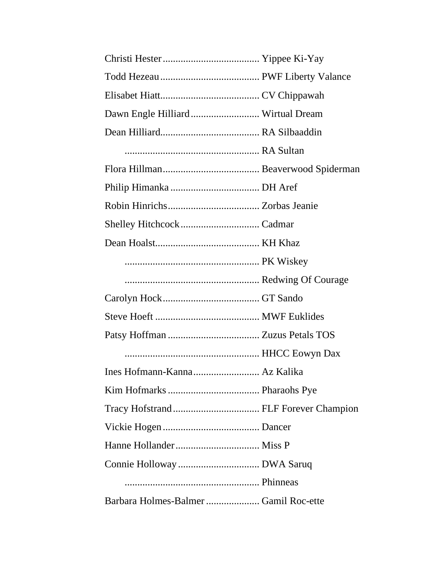| Dawn Engle Hilliard Wirtual Dream |  |
|-----------------------------------|--|
|                                   |  |
|                                   |  |
|                                   |  |
|                                   |  |
|                                   |  |
|                                   |  |
|                                   |  |
|                                   |  |
|                                   |  |
|                                   |  |
|                                   |  |
|                                   |  |
|                                   |  |
|                                   |  |
|                                   |  |
|                                   |  |
|                                   |  |
|                                   |  |
|                                   |  |
|                                   |  |
|                                   |  |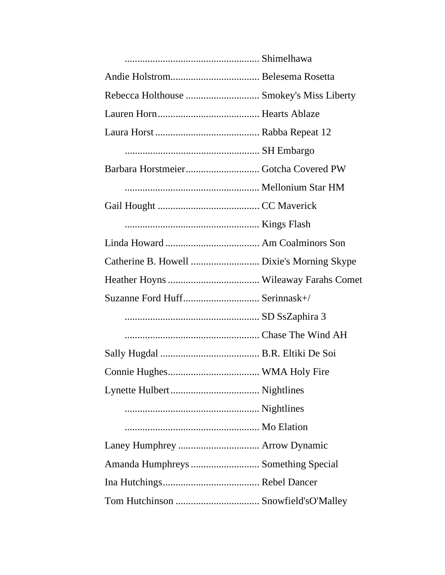| Suzanne Ford Huff Serinnask+/       |  |
|-------------------------------------|--|
|                                     |  |
|                                     |  |
|                                     |  |
|                                     |  |
|                                     |  |
|                                     |  |
|                                     |  |
|                                     |  |
| Amanda Humphreys  Something Special |  |
|                                     |  |
|                                     |  |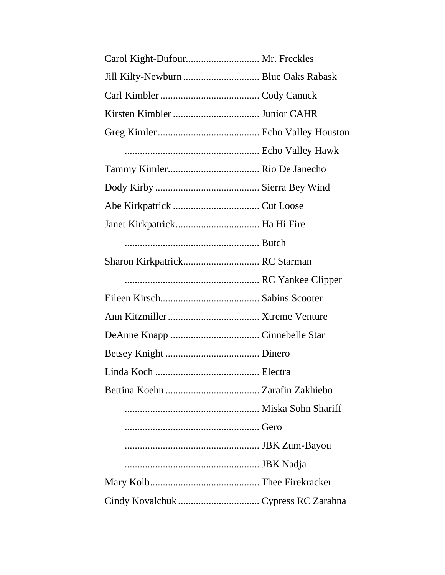| Carol Kight-Dufour Mr. Freckles      |  |
|--------------------------------------|--|
| Jill Kilty-Newburn  Blue Oaks Rabask |  |
|                                      |  |
|                                      |  |
|                                      |  |
|                                      |  |
|                                      |  |
|                                      |  |
|                                      |  |
|                                      |  |
|                                      |  |
| Sharon Kirkpatrick RC Starman        |  |
|                                      |  |
|                                      |  |
|                                      |  |
|                                      |  |
|                                      |  |
|                                      |  |
|                                      |  |
|                                      |  |
|                                      |  |
|                                      |  |
|                                      |  |
|                                      |  |
|                                      |  |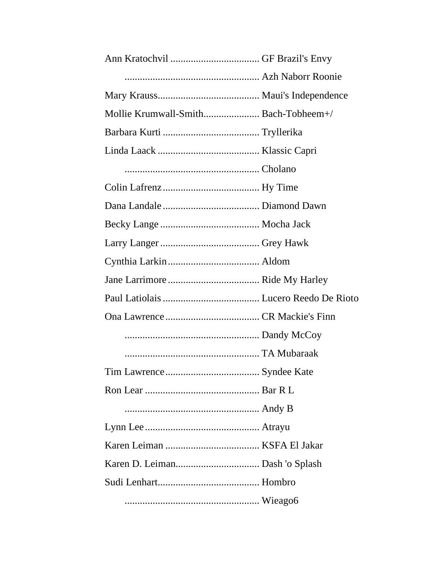| Mollie Krumwall-Smith Bach-Tobheem+/ |  |
|--------------------------------------|--|
|                                      |  |
|                                      |  |
|                                      |  |
|                                      |  |
|                                      |  |
|                                      |  |
|                                      |  |
|                                      |  |
|                                      |  |
|                                      |  |
|                                      |  |
|                                      |  |
|                                      |  |
|                                      |  |
|                                      |  |
|                                      |  |
|                                      |  |
|                                      |  |
|                                      |  |
|                                      |  |
|                                      |  |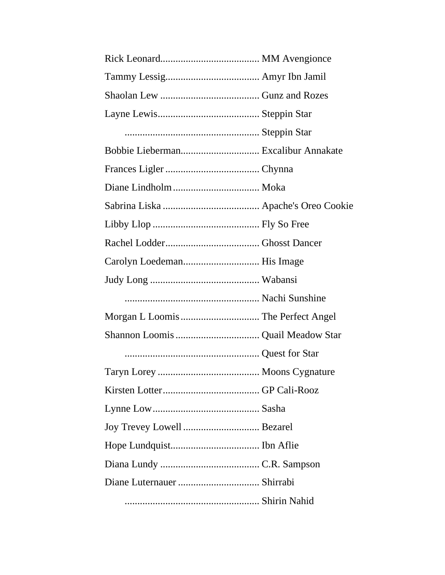| Joy Trevey Lowell Bezarel |  |
|---------------------------|--|
|                           |  |
|                           |  |
|                           |  |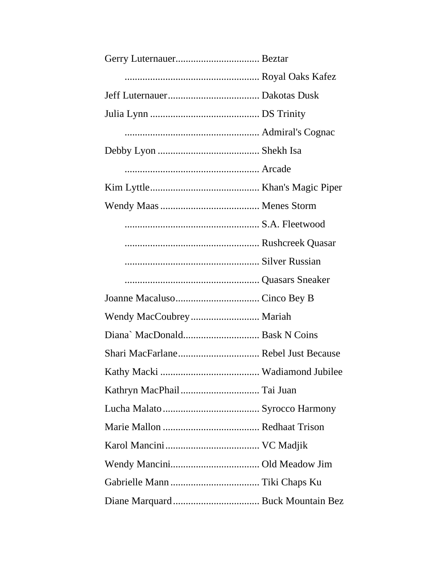| Shari MacFarlane Rebel Just Because |  |
|-------------------------------------|--|
|                                     |  |
|                                     |  |
|                                     |  |
|                                     |  |
|                                     |  |
|                                     |  |
|                                     |  |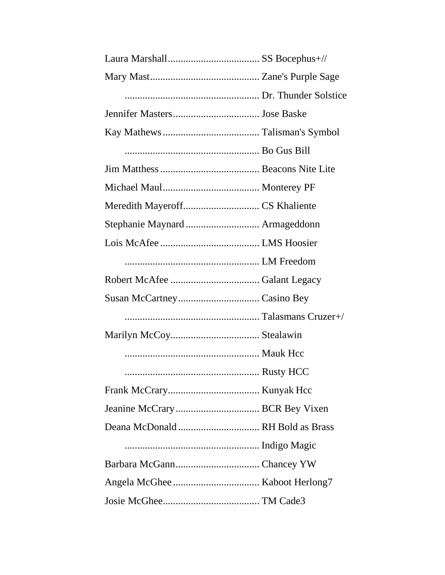| Meredith Mayeroff CS Khaliente   |  |
|----------------------------------|--|
| Stephanie Maynard  Armageddonn   |  |
|                                  |  |
|                                  |  |
|                                  |  |
|                                  |  |
|                                  |  |
|                                  |  |
|                                  |  |
|                                  |  |
|                                  |  |
|                                  |  |
| Deana McDonald  RH Bold as Brass |  |
|                                  |  |
|                                  |  |
|                                  |  |
|                                  |  |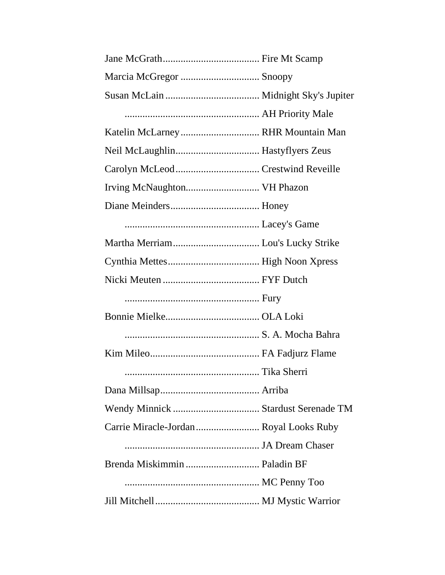| Marcia McGregor  Snoopy                |  |
|----------------------------------------|--|
|                                        |  |
|                                        |  |
| Katelin McLarney RHR Mountain Man      |  |
|                                        |  |
|                                        |  |
|                                        |  |
|                                        |  |
|                                        |  |
|                                        |  |
|                                        |  |
|                                        |  |
|                                        |  |
|                                        |  |
|                                        |  |
|                                        |  |
|                                        |  |
|                                        |  |
|                                        |  |
| Carrie Miracle-Jordan Royal Looks Ruby |  |
|                                        |  |
|                                        |  |
|                                        |  |
|                                        |  |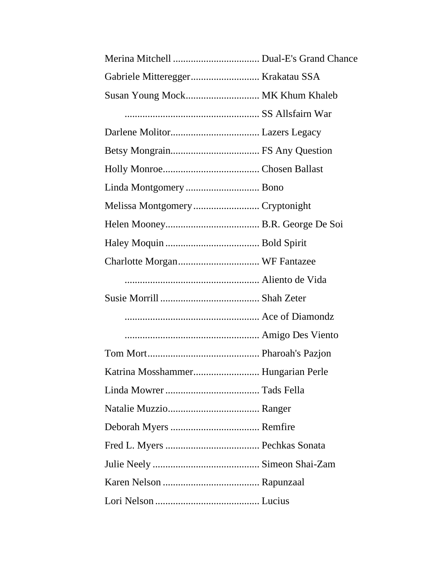| Susan Young Mock MK Khum Khaleb    |  |
|------------------------------------|--|
|                                    |  |
|                                    |  |
|                                    |  |
|                                    |  |
|                                    |  |
|                                    |  |
|                                    |  |
|                                    |  |
|                                    |  |
|                                    |  |
|                                    |  |
|                                    |  |
|                                    |  |
|                                    |  |
| Katrina Mosshammer Hungarian Perle |  |
|                                    |  |
|                                    |  |
|                                    |  |
|                                    |  |
|                                    |  |
|                                    |  |
|                                    |  |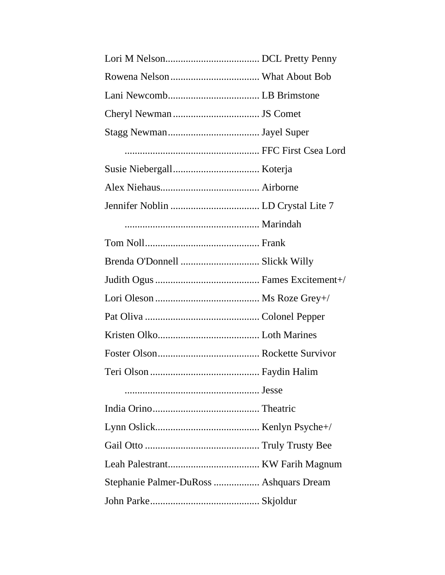| Stephanie Palmer-DuRoss  Ashquars Dream |  |
|-----------------------------------------|--|
|                                         |  |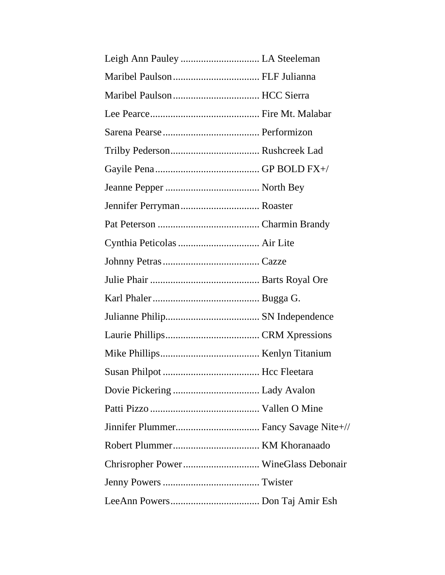| Jennifer Perryman Roaster            |  |
|--------------------------------------|--|
|                                      |  |
|                                      |  |
|                                      |  |
|                                      |  |
|                                      |  |
|                                      |  |
|                                      |  |
|                                      |  |
|                                      |  |
|                                      |  |
|                                      |  |
|                                      |  |
|                                      |  |
|                                      |  |
| Chrisropher Power WineGlass Debonair |  |
|                                      |  |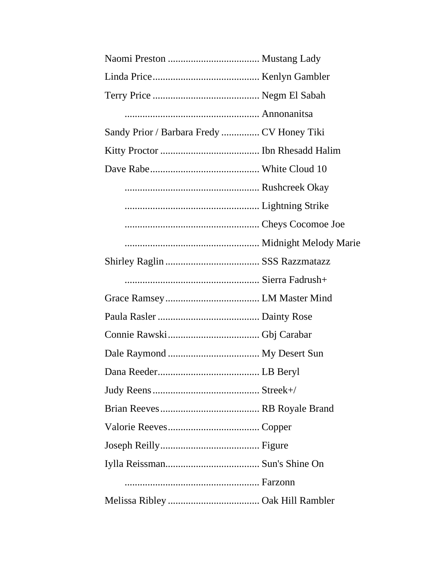| Sandy Prior / Barbara Fredy  CV Honey Tiki |  |
|--------------------------------------------|--|
|                                            |  |
|                                            |  |
|                                            |  |
|                                            |  |
|                                            |  |
|                                            |  |
|                                            |  |
|                                            |  |
|                                            |  |
|                                            |  |
|                                            |  |
|                                            |  |
|                                            |  |
|                                            |  |
|                                            |  |
|                                            |  |
|                                            |  |
|                                            |  |
|                                            |  |
|                                            |  |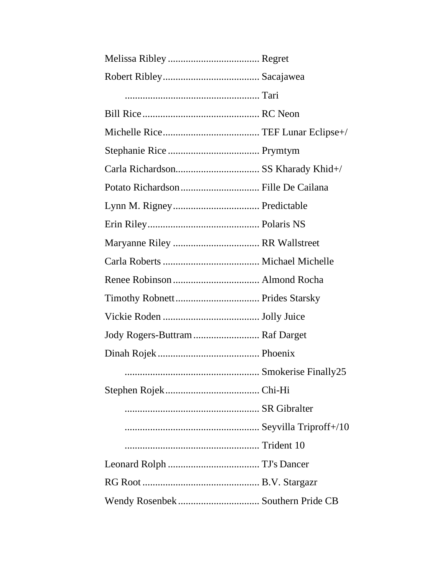| Jody Rogers-Buttram  Raf Darget |  |
|---------------------------------|--|
|                                 |  |
|                                 |  |
|                                 |  |
|                                 |  |
|                                 |  |
|                                 |  |
|                                 |  |
|                                 |  |
|                                 |  |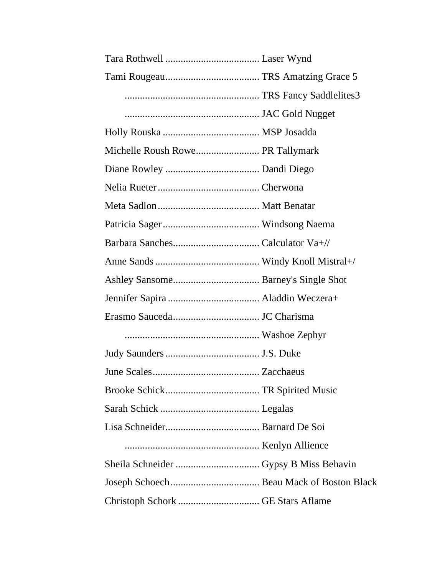| Michelle Roush Rowe PR Tallymark |  |
|----------------------------------|--|
|                                  |  |
|                                  |  |
|                                  |  |
|                                  |  |
|                                  |  |
|                                  |  |
|                                  |  |
|                                  |  |
|                                  |  |
|                                  |  |
|                                  |  |
|                                  |  |
|                                  |  |
|                                  |  |
|                                  |  |
|                                  |  |
|                                  |  |
|                                  |  |
|                                  |  |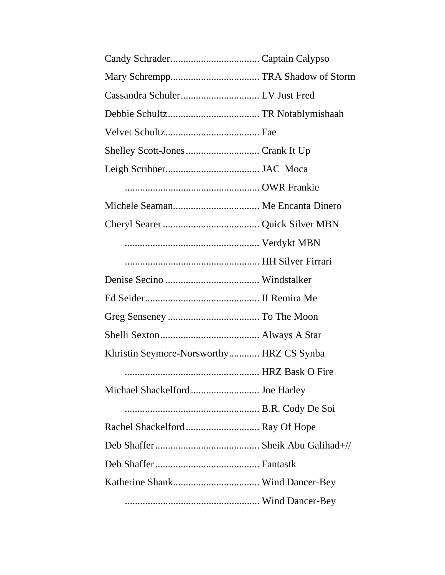| Khristin Seymore-Norsworthy HRZ CS Synba |  |
|------------------------------------------|--|
|                                          |  |
| Michael Shackelford Joe Harley           |  |
|                                          |  |
|                                          |  |
|                                          |  |
|                                          |  |
|                                          |  |
|                                          |  |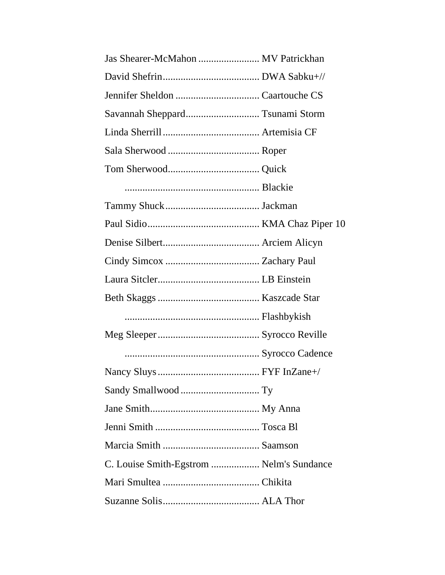| Savannah Sheppard Tsunami Storm          |  |
|------------------------------------------|--|
|                                          |  |
|                                          |  |
|                                          |  |
|                                          |  |
|                                          |  |
|                                          |  |
|                                          |  |
|                                          |  |
|                                          |  |
|                                          |  |
|                                          |  |
|                                          |  |
|                                          |  |
|                                          |  |
|                                          |  |
|                                          |  |
|                                          |  |
|                                          |  |
| C. Louise Smith-Egstrom  Nelm's Sundance |  |
|                                          |  |
|                                          |  |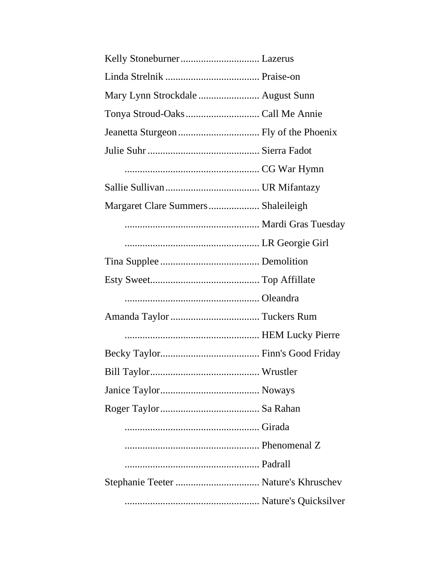| Mary Lynn Strockdale  August Sunn  |  |
|------------------------------------|--|
|                                    |  |
|                                    |  |
|                                    |  |
|                                    |  |
|                                    |  |
| Margaret Clare Summers Shaleileigh |  |
|                                    |  |
|                                    |  |
|                                    |  |
|                                    |  |
|                                    |  |
|                                    |  |
|                                    |  |
|                                    |  |
|                                    |  |
|                                    |  |
|                                    |  |
|                                    |  |
|                                    |  |
|                                    |  |
|                                    |  |
|                                    |  |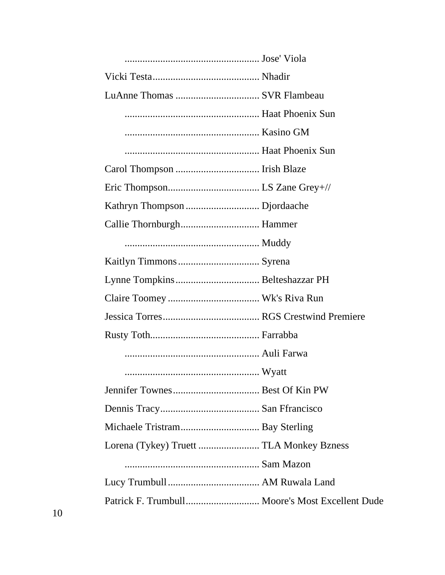| Lorena (Tykey) Truett  TLA Monkey Bzness        |
|-------------------------------------------------|
|                                                 |
|                                                 |
| Patrick F. Trumbull Moore's Most Excellent Dude |
|                                                 |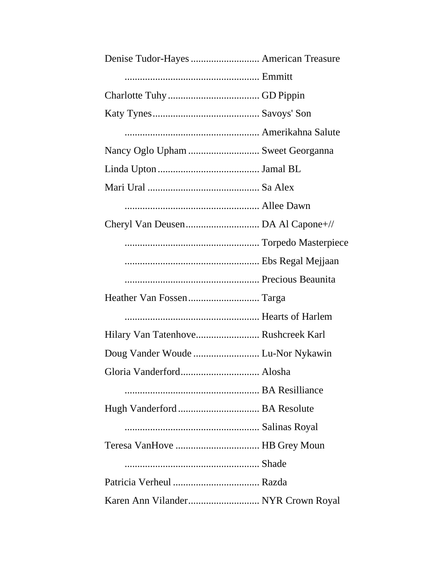| Nancy Oglo Upham  Sweet Georganna   |  |
|-------------------------------------|--|
|                                     |  |
|                                     |  |
|                                     |  |
|                                     |  |
|                                     |  |
|                                     |  |
|                                     |  |
|                                     |  |
|                                     |  |
| Hilary Van Tatenhove Rushcreek Karl |  |
| Doug Vander Woude  Lu-Nor Nykawin   |  |
|                                     |  |
| Gloria Vanderford Alosha            |  |
|                                     |  |
|                                     |  |
|                                     |  |
| Teresa VanHove  HB Grey Moun        |  |
|                                     |  |
|                                     |  |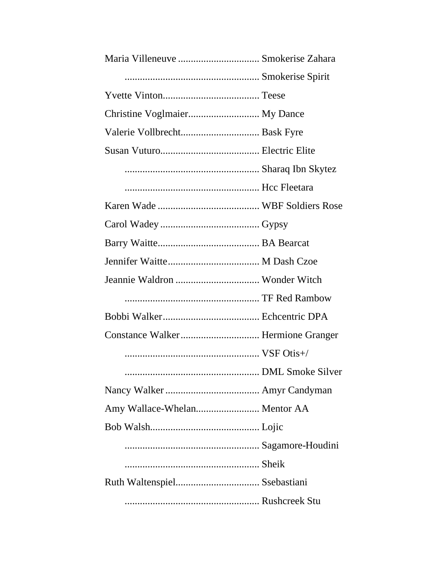| Amy Wallace-Whelan Mentor AA |  |
|------------------------------|--|
|                              |  |
|                              |  |
|                              |  |
|                              |  |